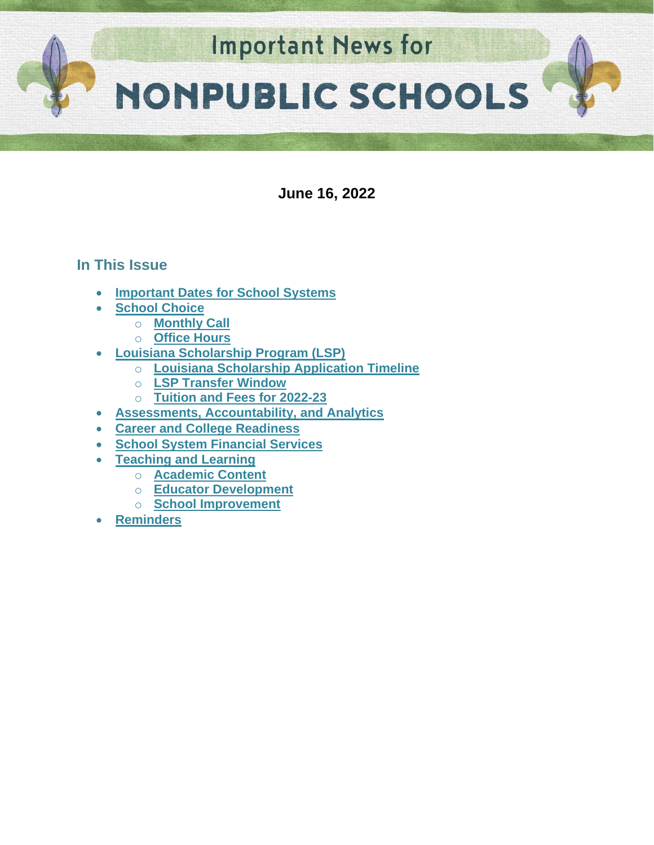

**June 16, 2022**

# **In This Issue**

- **[Important Dates for School Systems](#page-1-0)**
- **[School Choice](#page-2-0)**
	- o **[Monthly Call](#page-2-1)**
	- o **[Office Hours](#page-2-2)**
- **[Louisiana Scholarship Program \(LSP\)](#page-2-3)**
	- o **[Louisiana Scholarship Application Timeline](#page-2-3)**
	- o **[LSP Transfer Window](#page-3-0)**
	- o **[Tuition and Fees for 2022-23](#page-3-1)**
- **Assessments, Accountability, and Analytics**
- **[Career and College Readiness](#page-5-0)**
- **School System Financial Services**
- **[Teaching and Learning](#page-6-0)**
	- o **[Academic Content](#page-6-1)**
	- o **[Educator Development](#page-6-2)**
	- o **[School Improvement](#page-9-0)**
- **[Reminders](https://docs.google.com/document/d/1eSVLul8lvkVotXUUfr0w-KjOhgb1Cqu7-OI2DlDZxmM/edit#heading=h.ikg4u25s1pw)**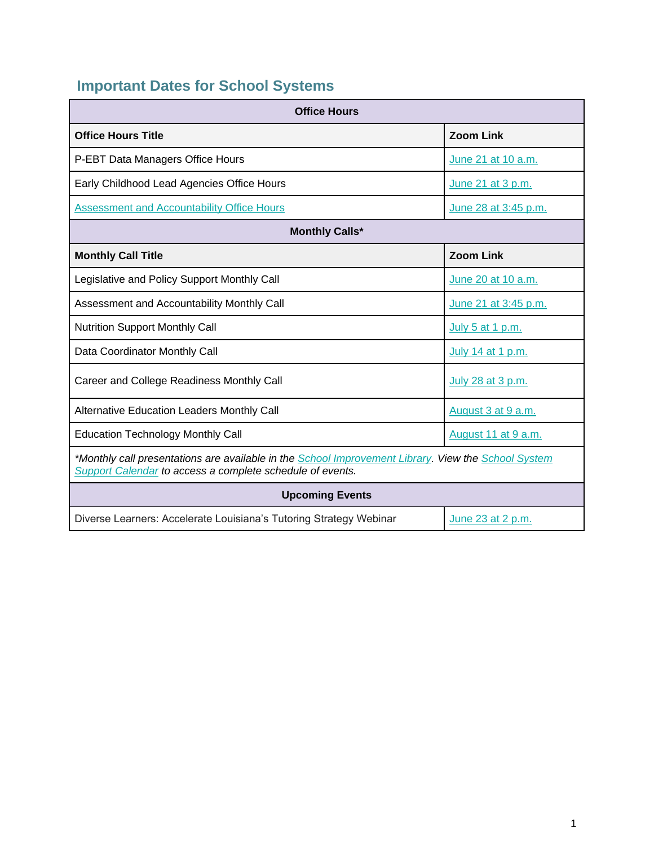# <span id="page-1-0"></span>**Important Dates for School Systems**

| <b>Office Hours</b>                                                                                                                                              |                      |  |  |
|------------------------------------------------------------------------------------------------------------------------------------------------------------------|----------------------|--|--|
| <b>Office Hours Title</b>                                                                                                                                        | <b>Zoom Link</b>     |  |  |
| P-EBT Data Managers Office Hours                                                                                                                                 | June 21 at 10 a.m.   |  |  |
| Early Childhood Lead Agencies Office Hours                                                                                                                       | June 21 at 3 p.m.    |  |  |
| <b>Assessment and Accountability Office Hours</b>                                                                                                                | June 28 at 3:45 p.m. |  |  |
| <b>Monthly Calls*</b>                                                                                                                                            |                      |  |  |
| <b>Monthly Call Title</b>                                                                                                                                        | <b>Zoom Link</b>     |  |  |
| Legislative and Policy Support Monthly Call                                                                                                                      | June 20 at 10 a.m.   |  |  |
| Assessment and Accountability Monthly Call                                                                                                                       | June 21 at 3:45 p.m. |  |  |
| <b>Nutrition Support Monthly Call</b>                                                                                                                            | July 5 at 1 p.m.     |  |  |
| Data Coordinator Monthly Call                                                                                                                                    | July 14 at 1 p.m.    |  |  |
| Career and College Readiness Monthly Call                                                                                                                        | July 28 at 3 p.m.    |  |  |
| <b>Alternative Education Leaders Monthly Call</b>                                                                                                                | August 3 at 9 a.m.   |  |  |
| <b>Education Technology Monthly Call</b>                                                                                                                         | August 11 at 9 a.m.  |  |  |
| *Monthly call presentations are available in the School Improvement Library. View the School System<br>Support Calendar to access a complete schedule of events. |                      |  |  |
| <b>Upcoming Events</b>                                                                                                                                           |                      |  |  |
| Diverse Learners: Accelerate Louisiana's Tutoring Strategy Webinar                                                                                               | June 23 at 2 p.m.    |  |  |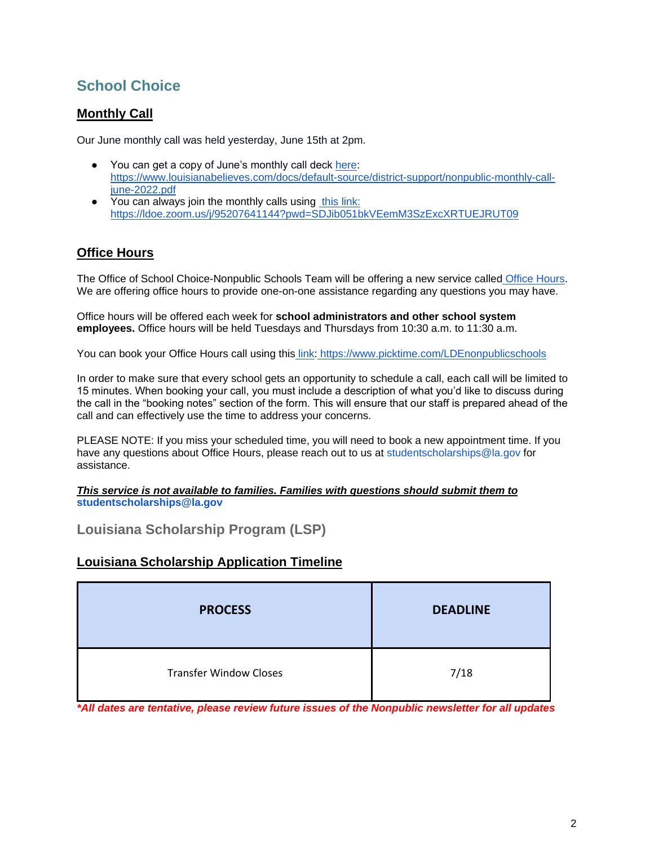# <span id="page-2-0"></span>**School Choice**

## <span id="page-2-1"></span>**Monthly Call**

Our June monthly call was held yesterday, June 15th at 2pm.

- You can get a copy of June's monthly call deck [here:](https://www.louisianabelieves.com/docs/default-source/district-support/nonpublic-monthly-call-june-2022.pdf) [https://www.louisianabelieves.com/docs/default-source/district-support/nonpublic-monthly-call](https://www.louisianabelieves.com/docs/default-source/district-support/nonpublic-monthly-call-june-2022.pdf)[june-2022.pdf](https://www.louisianabelieves.com/docs/default-source/district-support/nonpublic-monthly-call-june-2022.pdf)
- You can always join the monthly calls usin[g](https://ldoe.zoom.us/j/95207641144?pwd=SDJib051bkVEemM3SzExcXRTUEJRUT09) [this link:](https://ldoe.zoom.us/j/95207641144?pwd=SDJib051bkVEemM3SzExcXRTUEJRUT09) <https://ldoe.zoom.us/j/95207641144?pwd=SDJib051bkVEemM3SzExcXRTUEJRUT09>

## <span id="page-2-2"></span>**Office Hours**

The Office of School Choice-Nonpublic Schools Team will be offering a new service called [Office Hours.](https://www.picktime.com/LDEnonpublicschools) We are offering office hours to provide one-on-one assistance regarding any questions you may have.

Office hours will be offered each week for **school administrators and other school system employees.** Office hours will be held Tuesdays and Thursdays from 10:30 a.m. to 11:30 a.m.

You can book your Office Hours call using this [link:](https://www.picktime.com/LDEnonpublicschools) <https://www.picktime.com/LDEnonpublicschools>

In order to make sure that every school gets an opportunity to schedule a call, each call will be limited to 15 minutes. When booking your call, you must include a description of what you'd like to discuss during the call in the "booking notes" section of the form. This will ensure that our staff is prepared ahead of the call and can effectively use the time to address your concerns.

PLEASE NOTE: If you miss your scheduled time, you will need to book a new appointment time. If you have any questions about Office Hours, please reach out to us at studentscholarships@la.gov for assistance.

*This service is not available to families. Families with questions should submit them to*  **studentscholarships@la.gov**

## **Louisiana Scholarship Program (LSP)**

## <span id="page-2-3"></span>**Louisiana Scholarship Application Timeline**

| <b>PROCESS</b>                | <b>DEADLINE</b> |
|-------------------------------|-----------------|
| <b>Transfer Window Closes</b> | 7/18            |

*\*All dates are tentative, please review future issues of the Nonpublic newsletter for all updates*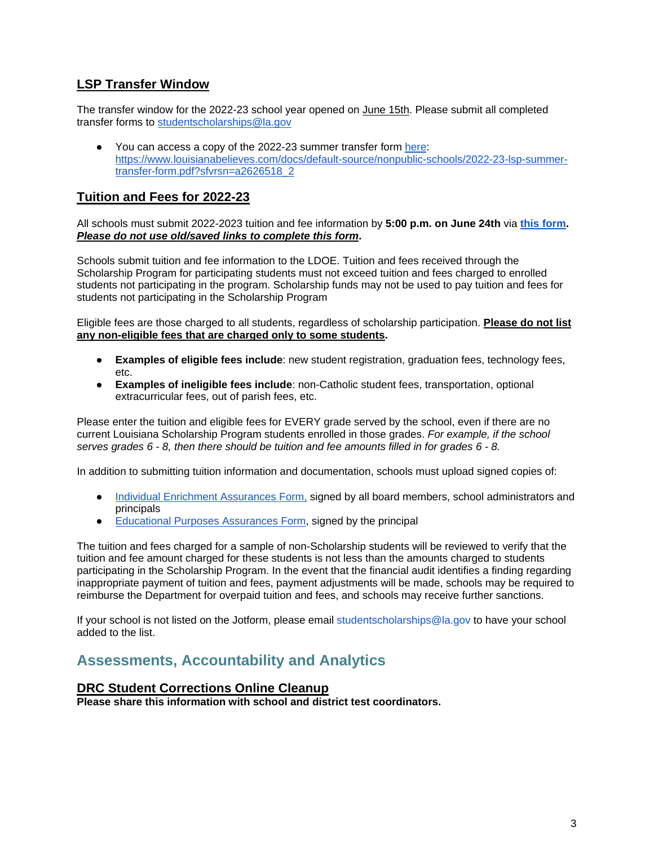## <span id="page-3-0"></span>**LSP Transfer Window**

The transfer window for the 2022-23 school year opened on June 15th. Please submit all completed transfer forms to [studentscholarships@la.gov](mailto:studentscholarships@la.gov)

● You can access a copy of the 2022-23 summer transfer form [here:](https://www.louisianabelieves.com/docs/default-source/nonpublic-schools/2022-23-lsp-summer-transfer-form.pdf?sfvrsn=a2626518_2) [https://www.louisianabelieves.com/docs/default-source/nonpublic-schools/2022-23-lsp-summer](https://www.louisianabelieves.com/docs/default-source/nonpublic-schools/2022-23-lsp-summer-transfer-form.pdf?sfvrsn=a2626518_2)[transfer-form.pdf?sfvrsn=a2626518\\_2](https://www.louisianabelieves.com/docs/default-source/nonpublic-schools/2022-23-lsp-summer-transfer-form.pdf?sfvrsn=a2626518_2)

## <span id="page-3-1"></span>**Tuition and Fees for 2022-23**

All schools must submit 2022-2023 tuition and fee information by **5:00 p.m. on June 24th** vi[a](https://form.jotform.com/221565107309149) **[this form.](https://form.jotform.com/221565107309149)**  *Please do not use old/saved links to complete this form***.**

Schools submit tuition and fee information to the LDOE. Tuition and fees received through the Scholarship Program for participating students must not exceed tuition and fees charged to enrolled students not participating in the program. Scholarship funds may not be used to pay tuition and fees for students not participating in the Scholarship Program

Eligible fees are those charged to all students, regardless of scholarship participation. **Please do not list any non-eligible fees that are charged only to some students.**

- **Examples of eligible fees include**: new student registration, graduation fees, technology fees, etc.
- **Examples of ineligible fees include**: non-Catholic student fees, transportation, optional extracurricular fees, out of parish fees, etc.

Please enter the tuition and eligible fees for EVERY grade served by the school, even if there are no current Louisiana Scholarship Program students enrolled in those grades. *For example, if the school serves grades 6 - 8, then there should be tuition and fee amounts filled in for grades 6 - 8.*

In addition to submitting tuition information and documentation, schools must upload signed copies of:

- [Individual Enrichment Assurances Form,](https://urldefense.proofpoint.com/v2/url?u=https-3A__drive.google.com_file_d_1fSbVOa37qWUYyWnhS4-5F-2DfaOg1WQgBXDX_view&d=DwMFAg&c=xlPCXuHzMdaH2Flc1sgyicYpGQbQbU9KDEmgNF3_wI0&r=P567e1YhJy265zNVv7fFPnov78solC_LIJ9Q16ha9js&m=ITTOyFstX1wecsA-RI5HNP9ftlo_xbto1ccmvG8KI7o&s=qAkZysqCt9dswSdlXH6isZ6LV-hA1nY5HIMyD_kW7cw&e=) signed by all board members, school administrators and principals
- [Educational Purposes Assurances Form,](https://urldefense.proofpoint.com/v2/url?u=https-3A__drive.google.com_file_d_1-2DMr4A3bnpJqNK435-5FjjmwtBBmjUQFZ3c_view&d=DwMFAg&c=xlPCXuHzMdaH2Flc1sgyicYpGQbQbU9KDEmgNF3_wI0&r=P567e1YhJy265zNVv7fFPnov78solC_LIJ9Q16ha9js&m=ITTOyFstX1wecsA-RI5HNP9ftlo_xbto1ccmvG8KI7o&s=zHgvfjyjgAObnvYj4U7vDhTP7YOtXEYJa29L9vAb9Zk&e=) signed by the principal

The tuition and fees charged for a sample of non-Scholarship students will be reviewed to verify that the tuition and fee amount charged for these students is not less than the amounts charged to students participating in the Scholarship Program. In the event that the financial audit identifies a finding regarding inappropriate payment of tuition and fees, payment adjustments will be made, schools may be required to reimburse the Department for overpaid tuition and fees, and schools may receive further sanctions.

If your school is not listed on the Jotform, please email studentscholarships@la.gov to have your school added to the list.

# **Assessments, Accountability and Analytics**

#### **DRC Student Corrections Online Cleanup**

**Please share this information with school and district test coordinators.**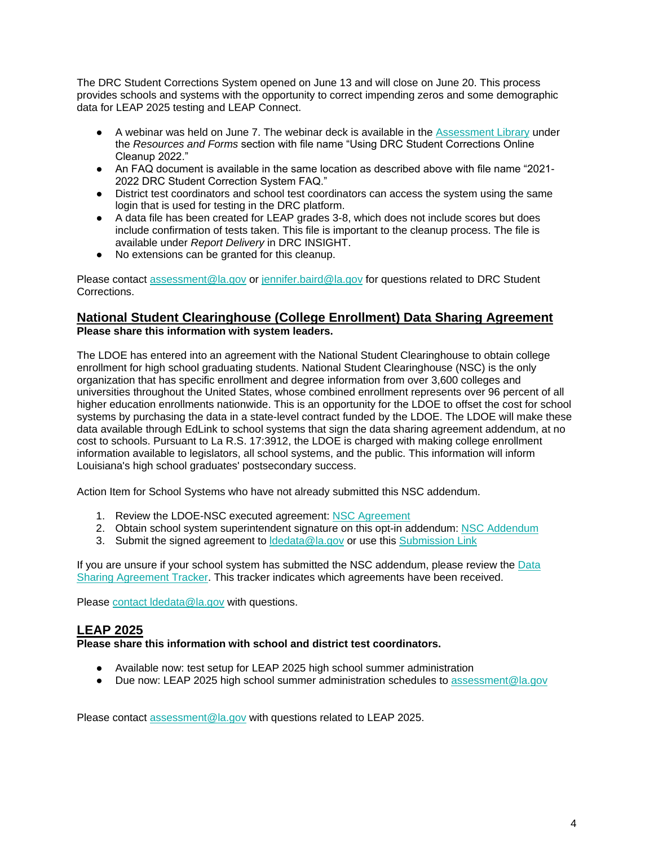The DRC Student Corrections System opened on June 13 and will close on June 20. This process provides schools and systems with the opportunity to correct impending zeros and some demographic data for LEAP 2025 testing and LEAP Connect.

- A webinar was held on June 7. The webinar deck is available in the [Assessment Library](https://www.louisianabelieves.com/resources/library/assessment) under the *Resources and Forms* section with file name "Using DRC Student Corrections Online Cleanup 2022."
- An FAQ document is available in the same location as described above with file name "2021-2022 DRC Student Correction System FAQ."
- District test coordinators and school test coordinators can access the system using the same login that is used for testing in the DRC platform.
- A data file has been created for LEAP grades 3-8, which does not include scores but does include confirmation of tests taken. This file is important to the cleanup process. The file is available under *Report Delivery* in DRC INSIGHT.
- No extensions can be granted for this cleanup.

Please contact [assessment@la.gov](mailto:assessment@la.gov) or [jennifer.baird@la.gov](mailto:jennifer.baird@la.gov) for questions related to DRC Student Corrections.

#### **National Student Clearinghouse (College Enrollment) Data Sharing Agreement Please share this information with system leaders.**

The LDOE has entered into an agreement with the National Student Clearinghouse to obtain college enrollment for high school graduating students. National Student Clearinghouse (NSC) is the only organization that has specific enrollment and degree information from over 3,600 colleges and universities throughout the United States, whose combined enrollment represents over 96 percent of all higher education enrollments nationwide. This is an opportunity for the LDOE to offset the cost for school systems by purchasing the data in a state-level contract funded by the LDOE. The LDOE will make these data available through EdLink to school systems that sign the data sharing agreement addendum, at no cost to schools. Pursuant to La R.S. 17:3912, the LDOE is charged with making college enrollment information available to legislators, all school systems, and the public. This information will inform Louisiana's high school graduates' postsecondary success.

Action Item for School Systems who have not already submitted this NSC addendum.

- 1. Review the LDOE-NSC executed agreement[:](https://urldefense.proofpoint.com/v2/url?u=https-3A__www.louisianabelieves.com_docs_default-2Dsource_data-2Dmanagement_national-2Dstudent-2Dclearinghouse-2D-2D-2D2022.pdf-3Fsfvrsn-3D7386518-5F2&d=DwMGaQ&c=xlPCXuHzMdaH2Flc1sgyicYpGQbQbU9KDEmgNF3_wI0&r=tfo0-czka-P8BMN0du3dPA&m=uadRfWRlT6LHVvjLybWdt1j7f2AnqAWd5f_plPO3irE&s=7KP7-ieeoXBHU_TwGcvZh7kMxAKbfvv5FLqmFebCAa0&e=) [NSC Agreement](https://urldefense.proofpoint.com/v2/url?u=https-3A__www.louisianabelieves.com_docs_default-2Dsource_data-2Dmanagement_national-2Dstudent-2Dclearinghouse-2D-2D-2D2022.pdf-3Fsfvrsn-3D7386518-5F2&d=DwMGaQ&c=xlPCXuHzMdaH2Flc1sgyicYpGQbQbU9KDEmgNF3_wI0&r=tfo0-czka-P8BMN0du3dPA&m=uadRfWRlT6LHVvjLybWdt1j7f2AnqAWd5f_plPO3irE&s=7KP7-ieeoXBHU_TwGcvZh7kMxAKbfvv5FLqmFebCAa0&e=)
- 2. Obtain school system superintendent signature on this opt-in addendum[:](https://www.louisianabelieves.com/docs/default-source/data-management/national-student-clearinghouse-(2022)---addendum.docx?sfvrsn=fa386518_2) [NSC Addendum](https://www.louisianabelieves.com/docs/default-source/data-management/national-student-clearinghouse-(2022)---addendum.docx?sfvrsn=fa386518_2)
- 3. Submit the [s](https://form.jotform.com/220685140413144)igned agreement to **Idedata@la.gov** or use this [Submission Link](https://form.jotform.com/220685140413144)

If you are unsure if your school system has submitted the NSC addendum, please review th[e](https://datastudio.google.com/u/0/reporting/1arwh3223YKsaV7xjbgEJSf0uymYALvUH/page/ija3?params=%7B%22df2%22:%22include%25EE%2580%25800%25EE%2580%2580IN%25EE%2580%2580002%22%7D) [Data](https://datastudio.google.com/u/0/reporting/1arwh3223YKsaV7xjbgEJSf0uymYALvUH/page/ija3?params=%7B%22df2%22:%22include%25EE%2580%25800%25EE%2580%2580IN%25EE%2580%2580002%22%7D)  [Sharing Agreement Tracker.](https://datastudio.google.com/u/0/reporting/1arwh3223YKsaV7xjbgEJSf0uymYALvUH/page/ija3?params=%7B%22df2%22:%22include%25EE%2580%25800%25EE%2580%2580IN%25EE%2580%2580002%22%7D) This tracker indicates which agreements have been received.

Please [contact ldedata@la.gov](mailto:ldedata@la.gov) with questions.

## **LEAP 2025**

#### **Please share this information with school and district test coordinators.**

- Available now: test setup for LEAP 2025 high school summer administration
- Due now: LEAP 2025 high school summer administration schedules to [assessment@la.gov](mailto:assessment@la.gov)

Please contact [assessment@la.gov](mailto:assessment@la.gov) with questions related to LEAP 2025.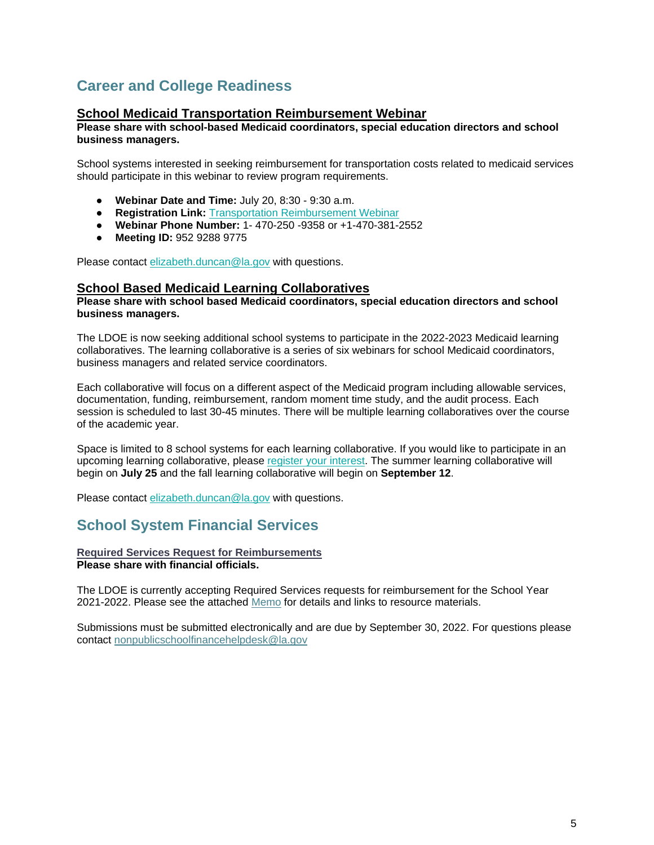# <span id="page-5-0"></span>**Career and College Readiness**

## **School Medicaid Transportation Reimbursement Webinar**

**Please share with school-based Medicaid coordinators, special education directors and school business managers.**

School systems interested in seeking reimbursement for transportation costs related to medicaid services should participate in this webinar to review program requirements.

- **Webinar Date and Time:** July 20, 8:30 9:30 a.m.
- **Registration Link:** [Transportation Reimbursement Webinar](https://ldoe.zoom.us/j/95292889775?pwd=Yjk3elUvcWtCR2RIWkdLRGlsZ3ZaQT09)
- **Webinar Phone Number:** 1- 470-250 -9358 or +1-470-381-2552
- **Meeting ID:** 952 9288 9775

Please contact [elizabeth.duncan@la.gov](mailto:elizabeth.duncan@la.gov) with questions.

#### **School Based Medicaid Learning Collaboratives**

**Please share with school based Medicaid coordinators, special education directors and school business managers.**

The LDOE is now seeking additional school systems to participate in the 2022-2023 Medicaid learning collaboratives. The learning collaborative is a series of six webinars for school Medicaid coordinators, business managers and related service coordinators.

Each collaborative will focus on a different aspect of the Medicaid program including allowable services, documentation, funding, reimbursement, random moment time study, and the audit process. Each session is scheduled to last 30-45 minutes. There will be multiple learning collaboratives over the course of the academic year.

Space is limited to 8 school systems for each learning collaborative. If you would like to participate in an upcoming learning collaborative, please [register your interest.](https://forms.gle/YiB95v7nCYKkGU2QA) The summer learning collaborative will begin on **July 25** and the fall learning collaborative will begin on **September 12**.

Please contact [elizabeth.duncan@la.gov](mailto:elizabeth.duncan@la.gov) with questions.

# **School System Financial Services**

**Required Services Request for Reimbursements Please share with financial officials.**

The LDOE is currently accepting Required Services requests for reimbursement for the School Year 2021-2022. Please see the attached [Memo](https://www.louisianabelieves.com/docs/default-source/nonpublic-schools-finance/required-services-memo.pdf) for details and links to resource materials.

Submissions must be submitted electronically and are due by September 30, 2022. For questions please contact [nonpublicschoolfinancehelpdesk@la.gov](mailto:nonpublicschoolfinancehelpdesk@la.gov)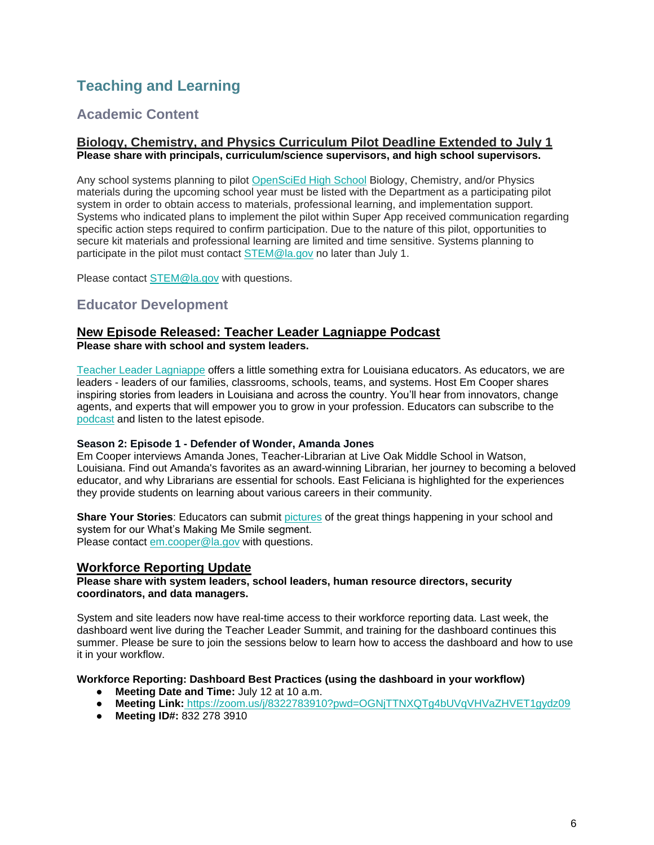# <span id="page-6-0"></span>**Teaching and Learning**

# <span id="page-6-1"></span>**Academic Content**

#### **Biology, Chemistry, and Physics Curriculum Pilot Deadline Extended to July 1 Please share with principals, curriculum/science supervisors, and high school supervisors.**

Any school systems planning to pilot [OpenSciEd High School](https://www.louisianabelieves.com/docs/default-source/year-long-planning/openscied-high-school-pilot.pdf) Biology, Chemistry, and/or Physics materials during the upcoming school year must be listed with the Department as a participating pilot system in order to obtain access to materials, professional learning, and implementation support. Systems who indicated plans to implement the pilot within Super App received communication regarding specific action steps required to confirm participation. Due to the nature of this pilot, opportunities to secure kit materials and professional learning are limited and time sensitive. Systems planning to participate in the pilot must contact [STEM@la.gov](mailto:STEM@la.gov) no later than July 1.

Please contact [STEM@la.gov](mailto:STEM@la.gov) with questions.

## <span id="page-6-2"></span>**Educator Development**

# **New Episode Released: Teacher Leader Lagniappe Podcast**

**Please share with school and system leaders.**

Teacher Leader Lagniappe offers a little something extra for Louisiana educators. As educators, we are leaders - leaders of our families, classrooms, schools, teams, and systems. Host Em Cooper shares inspiring stories from leaders in Louisiana and across the country. You'll hear from innovators, change agents, and experts that will empower you to grow in your profession. Educators can subscribe to th[e](https://www.buzzsprout.com/1804579) [podcast](https://www.buzzsprout.com/1804579) and listen to the latest episode.

#### **Season 2: Episode 1 - Defender of Wonder, Amanda Jones**

Em Cooper interviews Amanda Jones, Teacher-Librarian at Live Oak Middle School in Watson, Louisiana. Find out Amanda's favorites as an award-winning Librarian, her journey to becoming a beloved educator, and why Librarians are essential for schools. East Feliciana is highlighted for the experiences they provide students on learning about various careers in their community.

**Share Your Stories**: Educators can submit [pictures](https://www.louisianabelieves.com/podcast) of the great things happening in your school and system for our What's Making Me Smile segment. Please contact [em.cooper@la.gov](mailto:em.cooper@la.gov) with questions.

## **Workforce Reporting Update**

**Please share with system leaders, school leaders, human resource directors, security coordinators, and data managers.**

System and site leaders now have real-time access to their workforce reporting data. Last week, the dashboard went live during the Teacher Leader Summit, and training for the dashboard continues this summer. Please be sure to join the sessions below to learn how to access the dashboard and how to use it in your workflow.

**Workforce Reporting: Dashboard Best Practices (using the dashboard in your workflow)**

- **Meeting Date and Time:** July 12 at 10 a.m.
- **Meeting Link:** <https://zoom.us/j/8322783910?pwd=OGNjTTNXQTg4bUVqVHVaZHVET1gydz09>
- **Meeting ID#:** 832 278 3910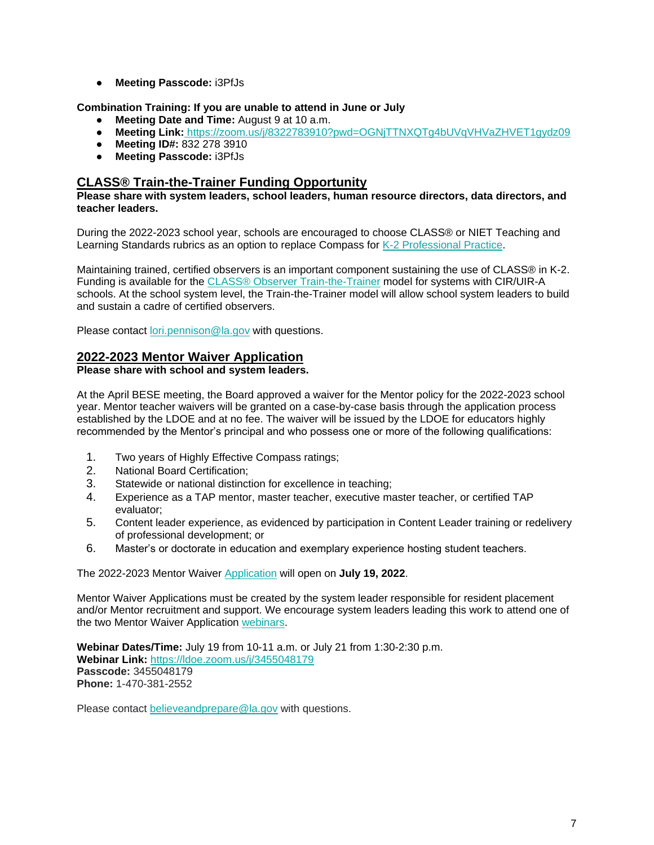● **Meeting Passcode:** i3PfJs

**Combination Training: If you are unable to attend in June or July**

- **Meeting Date and Time:** August 9 at 10 a.m.
- **Meeting Link:** <https://zoom.us/j/8322783910?pwd=OGNjTTNXQTg4bUVqVHVaZHVET1gydz09>
- **Meeting ID#:** 832 278 3910
- **Meeting Passcode:** i3PfJs

## **CLASS® Train-the-Trainer Funding Opportunity**

#### **Please share with system leaders, school leaders, human resource directors, data directors, and teacher leaders.**

During the 2022-2023 school year, schools are encouraged to choose CLASS® or NIET Teaching and Learning Standards rubrics as an option to replace Compass for [K-2 Professional Practice.](https://www.louisianabelieves.com/docs/default-source/key-compass-resources/2022-2023-k-2-teacher-professional-practice.pdf?sfvrsn=96126518_4)

Maintaining trained, certified observers is an important component sustaining the use of CLASS® in K-2. Funding is available for the [CLASS® Observer Train-the-Trainer](https://www.louisianabelieves.com/docs/default-source/key-compass-resources/k-2-class-ttt-funding-opportunity_-spring-2022.pdf?sfvrsn=95126518_4) model for systems with CIR/UIR-A schools. At the school system level, the Train-the-Trainer model will allow school system leaders to build and sustain a cadre of certified observers.

Please contact [lori.pennison@la.gov](mailto:lori.pennison@la.gov) with questions.

## **2022-2023 Mentor Waiver Application**

#### **Please share with school and system leaders.**

At the April BESE meeting, the Board approved a waiver for the Mentor policy for the 2022-2023 school year. Mentor teacher waivers will be granted on a case-by-case basis through the application process established by the LDOE and at no fee. The waiver will be issued by the LDOE for educators highly recommended by the Mentor's principal and who possess one or more of the following qualifications:

- 1. Two years of Highly Effective Compass ratings;
- 2. National Board Certification;
- 3. Statewide or national distinction for excellence in teaching;
- 4. Experience as a TAP mentor, master teacher, executive master teacher, or certified TAP evaluator;
- 5. Content leader experience, as evidenced by participation in Content Leader training or redelivery of professional development; or
- 6. Master's or doctorate in education and exemplary experience hosting student teachers.

The 2022-2023 Mentor Waiver [Application](https://louisianabelieves.smapply.io/prog/) will open on **July 19, 2022**.

Mentor Waiver Applications must be created by the system leader responsible for resident placement and/or Mentor recruitment and support. We encourage system leaders leading this work to attend one of the two Mentor Waiver Application [webinars.](https://ldoe.zoom.us/j/3455048179)

**Webinar Dates/Time:** July 19 from 10-11 a.m. or July 21 from 1:30-2:30 p.m. **Webinar Link:** <https://ldoe.zoom.us/j/3455048179> **Passcode:** 3455048179 **Phone:** 1-470-381-2552

Please contact [believeandprepare@la.gov](mailto:believeandprepare@la.gov) with questions.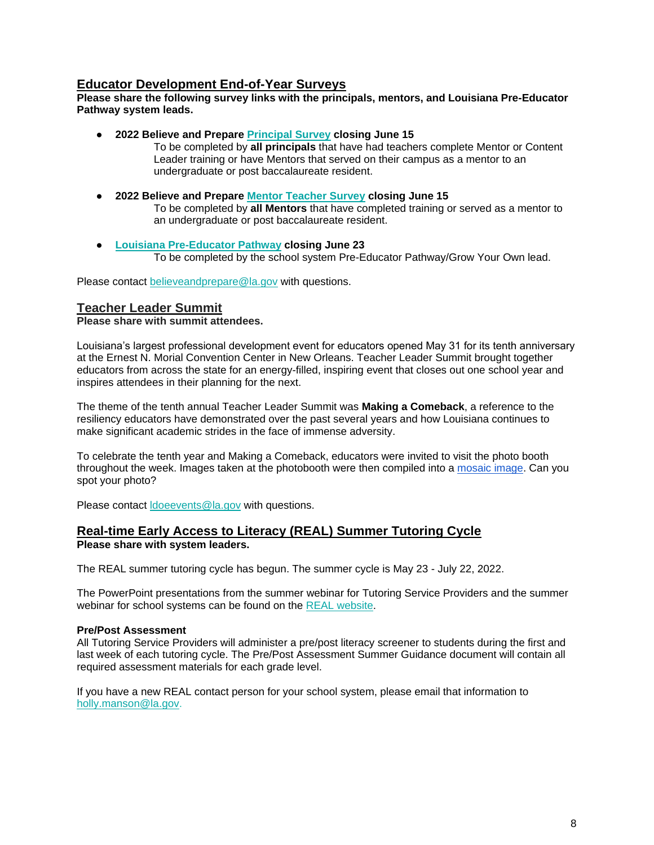## **Educator Development End-of-Year Surveys**

#### **Please share the following survey links with the principals, mentors, and Louisiana Pre-Educator Pathway system leads.**

- **2022 Believe and Prepare [Principal Survey](https://form.jotform.com/221314340045137) closing June 15**
	- To be completed by **all principals** that have had teachers complete Mentor or Content Leader training or have Mentors that served on their campus as a mentor to an undergraduate or post baccalaureate resident.
- **2022 Believe and Prepare [Mentor Teacher Survey](https://form.jotform.com/221314653046145) closing June 15** To be completed by **all Mentors** that have completed training or served as a mentor to an undergraduate or post baccalaureate resident.
- **[Louisiana Pre-Educator Pathway](https://form.jotform.com/221244804572048) closing June 23** To be completed by the school system Pre-Educator Pathway/Grow Your Own lead.

Please contact [believeandprepare@la.gov](mailto:believeandprepare@la.gov) with questions.

## **Teacher Leader Summit**

#### **Please share with summit attendees.**

Louisiana's largest professional development event for educators opened May 31 for its tenth anniversary at the Ernest N. Morial Convention Center in New Orleans. Teacher Leader Summit brought together educators from across the state for an energy-filled, inspiring event that closes out one school year and inspires attendees in their planning for the next.

The theme of the tenth annual Teacher Leader Summit was **Making a Comeback**, a reference to the resiliency educators have demonstrated over the past several years and how Louisiana continues to make significant academic strides in the face of immense adversity.

To celebrate the tenth year and Making a Comeback, educators were invited to visit the photo booth throughout the week. Images taken at the photobooth were then compiled into a [mosaic image.](https://api.fotomasterltd.net/photo-mosaic-booth/live/presentation.html?clientId=1236037&eventId=1653681992658-LDOE_-_Final&columns=54&rows=36&focusOption=true) Can you spot your photo?

Please contact **doeevents@la.gov** with questions.

#### **Real-time Early Access to Literacy (REAL) Summer Tutoring Cycle Please share with system leaders.**

The REAL summer tutoring cycle has begun. The summer cycle is May 23 - July 22, 2022.

The PowerPoint presentations from the summer webinar for Tutoring Service Providers and the summer webinar for school systems can be found on the [REAL website.](https://www.louisianabelieves.com/academics/real-time-early-access-to-literacy)

#### **Pre/Post Assessment**

All Tutoring Service Providers will administer a pre/post literacy screener to students during the first and last week of each tutoring cycle. The Pre/Post Assessment Sum[mer Guidance](https://drive.google.com/file/d/1wY3o8SORcsJopqILT0F8EPOQ-53JWGMY/view?usp=sharing) document will contain all required assessment materials for each grade level.

If you have a new REAL contact person for your school system, please email that information to [holly.manson@la.gov.](mailto:holly.manson@la.gov)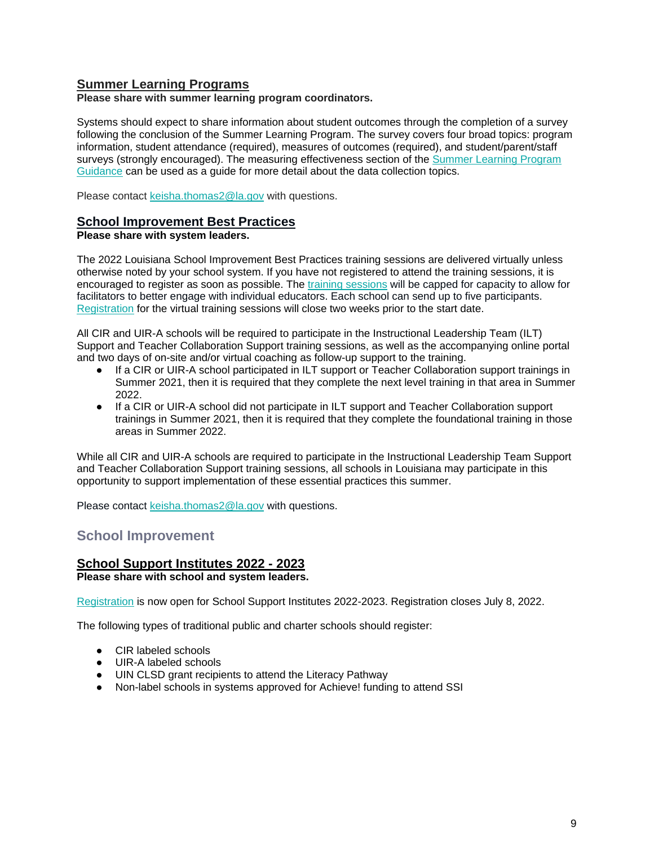## **Summer Learning Programs**

**Please share with summer learning program coordinators.**

Systems should expect to share information about student outcomes through the completion of a survey following the conclusion of the Summer Learning Program. The survey covers four broad topics: program information, student attendance (required), measures of outcomes (required), and student/parent/staff surveys (strongly encouraged). The measuring effectiveness section of the [Summer Learning Program](https://www.louisianabelieves.com/docs/default-source/academics/summer-learning-program-guidance-2021.pdf?sfvrsn=9f5a6618_2)  [Guidance](https://www.louisianabelieves.com/docs/default-source/academics/summer-learning-program-guidance-2021.pdf?sfvrsn=9f5a6618_2) can be used as a guide for more detail about the data collection topics.

Please contact [keisha.thomas2@la.gov](mailto:Keisha.Thomas2@la.gov) with questions.

#### **School Improvement Best Practices**

#### **Please share with system leaders.**

The 2022 Louisiana School Improvement Best Practices training sessions are delivered virtually unless otherwise noted by your school system. If you have not registered to attend the training sessions, it is encouraged to register as soon as possible. The [training sessions](https://www.louisianabelieves.com/docs/default-source/district-support/louisiana-best-practices---summer-2022-general-training-dates.pdf?sfvrsn=22316518_2-Summer-2022-General-Dates.pdf) will be capped for capacity to allow for facilitators to better engage with individual educators. Each school can send up to five participants. [Registration](https://na.eventscloud.com/website/38017/) for the virtual training sessions will close two weeks prior to the start date.

All CIR and UIR-A schools will be required to participate in the Instructional Leadership Team (ILT) Support and Teacher Collaboration Support training sessions, as well as the accompanying online portal and two days of on-site and/or virtual coaching as follow-up support to the training.

- If a CIR or UIR-A school participated in ILT support or Teacher Collaboration support trainings in Summer 2021, then it is required that they complete the next level training in that area in Summer 2022.
- If a CIR or UIR-A school did not participate in ILT support and Teacher Collaboration support trainings in Summer 2021, then it is required that they complete the foundational training in those areas in Summer 2022.

While all CIR and UIR-A schools are required to participate in the Instructional Leadership Team Support and Teacher Collaboration Support training sessions, all schools in Louisiana may participate in this opportunity to support implementation of these essential practices this summer.

Please contact [keisha.thomas2@la.gov](mailto:Keisha.Thomas2@la.gov) with questions.

## <span id="page-9-0"></span>**School Improvement**

## **School Support Institutes 2022 - 2023**

**Please share with school and system leaders.**

[Registration](https://www.louisianabelieves.com/docs/default-source/district-support/school-support-institutes-registration.pdf?sfvrsn=1a696518_2) is now open for School Support Institutes 2022-2023. Registration closes July 8, 2022.

The following types of traditional public and charter schools should register:

- CIR labeled schools
- UIR-A labeled schools
- UIN CLSD grant recipients to attend the Literacy Pathway
- Non-label schools in systems approved for Achieve! funding to attend SSI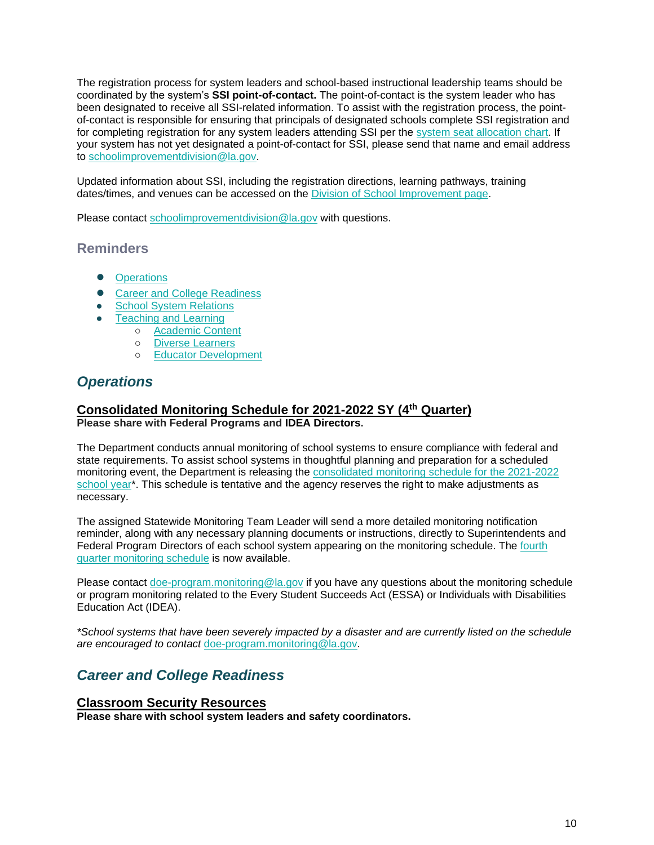The registration process for system leaders and school-based instructional leadership teams should be coordinated by the system's **SSI point-of-contact.** The point-of-contact is the system leader who has been designated to receive all SSI-related information. To assist with the registration process, the pointof-contact is responsible for ensuring that principals of designated schools complete SSI registration and for completing registration for any system leaders attending SSI per the [system seat allocation chart.](https://www.louisianabelieves.com/docs/default-source/district-support/school-support-institutes-overview.pdf?sfvrsn=6f16991f_10) If your system has not yet designated a point-of-contact for SSI, please send that name and email address to [schoolimprovementdivision@la.gov.](mailto:schoolimprovementdivision@la.gov)

Updated information about SSI, including the registration directions, learning pathways, training dates/times, and venues can be accessed on the [Division of School Improvement page.](https://www.louisianabelieves.com/schools/school-improvement)

Please contact [schoolimprovementdivision@la.gov](mailto:schoolimprovementdivision@la.gov) with questions.

## **Reminders**

- [Operations](#page-10-0)
- [Career and College Readiness](#page-10-1)
- [School System Relations](#page-11-0)
- **[Teaching and Learning](#page-12-0)** 
	- [Academic Content](#page-12-1)
	- [Diverse Learners](#page-13-0)
	- [Educator Development](#page-14-0)

# <span id="page-10-0"></span>*Operations*

#### **Consolidated Monitoring Schedule for 2021-2022 SY (4th Quarter) Please share with Federal Programs and IDEA Directors.**

The Department conducts annual monitoring of school systems to ensure compliance with federal and state requirements. To assist school systems in thoughtful planning and preparation for a scheduled monitoring event, the Department is releasing th[e](https://www.louisianabelieves.com/docs/default-source/links-for-newsletters/2021-2022-consolidated-monitoring-schedule_public_5-12-22.pdf) [consolidated monitoring schedule for the 2021-2022](https://www.louisianabelieves.com/docs/default-source/links-for-newsletters/2021-2022-consolidated-monitoring-schedule_public_5-12-22.pdf)  [school year\\*](https://www.louisianabelieves.com/docs/default-source/links-for-newsletters/2021-2022-consolidated-monitoring-schedule_public_5-12-22.pdf). This schedule is tentative and the agency reserves the right to make adjustments as necessary.

The assigned Statewide Monitoring Team Leader will send a more detailed monitoring notification reminder, along with any necessary planning documents or instructions, directly to Superintendents and Federal Program Directors of each school system appearing on the monitoring schedule. Th[e](https://www.louisianabelieves.com/docs/default-source/links-for-newsletters/2021-2022_4th-quarter-monitoring-schedule-only_public.pdf) [fourth](https://www.louisianabelieves.com/docs/default-source/links-for-newsletters/2021-2022_4th-quarter-monitoring-schedule-only_public.pdf)  [quarter monitoring schedule](https://www.louisianabelieves.com/docs/default-source/links-for-newsletters/2021-2022_4th-quarter-monitoring-schedule-only_public.pdf) is now available.

Please contact [doe-program.monitoring@la.gov](mailto:DOE-program.monitoring@la.gov) if you have any questions about the monitoring schedule or program monitoring related to the Every Student Succeeds Act (ESSA) or Individuals with Disabilities Education Act (IDEA).

<span id="page-10-1"></span>*\*School systems that have been severely impacted by a disaster and are currently listed on the schedule are encouraged to contact* [doe-program.monitoring@la.gov.](mailto:DOE-program.monitoring@la.gov)

# *Career and College Readiness*

## **Classroom Security Resources**

**Please share with school system leaders and safety coordinators.**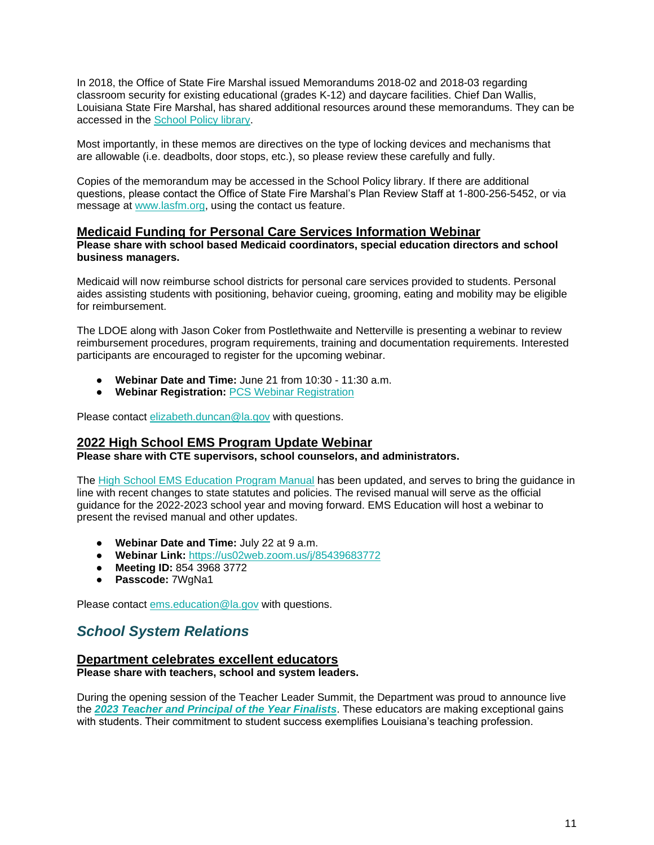In 2018, the Office of State Fire Marshal issued Memorandums 2018-02 and 2018-03 regarding classroom security for existing educational (grades K-12) and daycare facilities. Chief Dan Wallis, Louisiana State Fire Marshal, has shared additional resources around these memorandums. They can be accessed in the [School Policy library.](https://www.louisianabelieves.com/docs/default-source/policy/sfm-school-security-2022-memos.pdf?sfvrsn=6d696518_5/)

Most importantly, in these memos are directives on the type of locking devices and mechanisms that are allowable (i.e. deadbolts, door stops, etc.), so please review these carefully and fully.

Copies of the memorandum may be accessed in the School Policy library. If there are additional questions, please contact the Office of State Fire Marshal's Plan Review Staff at 1-800-256-5452, or via message at [www.lasfm.org,](http://www.lasfm.org/) using the contact us feature.

## **Medicaid Funding for Personal Care Services Information Webinar**

**Please share with school based Medicaid coordinators, special education directors and school business managers.**

Medicaid will now reimburse school districts for personal care services provided to students. Personal aides assisting students with positioning, behavior cueing, grooming, eating and mobility may be eligible for reimbursement.

The LDOE along with Jason Coker from Postlethwaite and Netterville is presenting a webinar to review reimbursement procedures, program requirements, training and documentation requirements. Interested participants are encouraged to register for the upcoming webinar.

- **Webinar Date and Time:** June 21 from 10:30 11:30 a.m.
- **Webinar Registration:** [PCS Webinar Registration](https://forms.gle/9q1PG4ebn9epjFuu5)

Please contact [elizabeth.duncan@la.gov](mailto:elizabeth.duncan@la.gov) with questions.

## **2022 High School EMS Program Update Webinar**

**Please share with CTE supervisors, school counselors, and administrators.**

The [High School EMS Education Program Manual](https://ldh.la.gov/assets/oph/ems/2022/220524HighSchoolEMSEdProgramGuide.pdf) has been updated, and serves to bring the guidance in line with recent changes to state statutes and policies. The revised manual will serve as the official guidance for the 2022-2023 school year and moving forward. EMS Education will host a webinar to present the revised manual and other updates.

- **Webinar Date and Time:** July 22 at 9 a.m.
- **Webinar Link[:](https://us02web.zoom.us/j/85439683772?pwd=Wk53cFBPNjRJQnU5d0I3WmJERS85Zz09)** [https://us02web.zoom.us/j/85439683772](https://us02web.zoom.us/j/85439683772?pwd=Wk53cFBPNjRJQnU5d0I3WmJERS85Zz09)
- **Meeting ID:** 854 3968 3772
- **Passcode:** 7WgNa1

Please contact [ems.education@la.gov](mailto:ems.education@la.gov) with questions.

## <span id="page-11-0"></span>*School System Relations*

#### **Department celebrates excellent educators**

**Please share with teachers, school and system leaders.** 

During the opening session of the Teacher Leader Summit, the Department was proud to announce live the *[2023 Teacher and Principal of the Year Finalists](https://www.louisianabelieves.com/docs/default-source/awards/2023-teacher-and-principal-of-the-year-finalists.pdf)*. These educators are making exceptional gains with students. Their commitment to student success exemplifies Louisiana's teaching profession.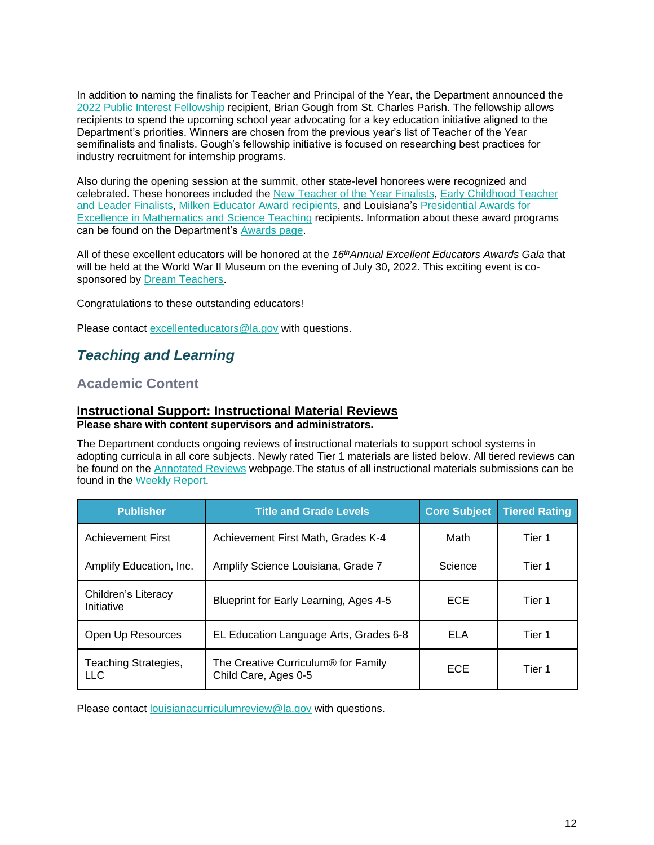In addition to naming the finalists for Teacher and Principal of the Year, the Department announced the [2022 Public Interest Fellowship](https://www.louisianabelieves.com/docs/default-source/awards/public-interest-fellowship-overview.pdf?sfvrsn=8bf19c1f_2) recipient, Brian Gough from St. Charles Parish. The fellowship allows recipients to spend the upcoming school year advocating for a key education initiative aligned to the Department's priorities. Winners are chosen from the previous year's list of Teacher of the Year semifinalists and finalists. Gough's fellowship initiative is focused on researching best practices for industry recruitment for internship programs.

Also during the opening session at the summit, other state-level honorees were recognized and celebrated. These honorees included the [New Teacher of the Year Finalists,](https://www.louisianabelieves.com/docs/default-source/awards/new-teacher-of-the-year-finalists-announcement.pdf) [Early Childhood Teacher](https://www.louisianabelieves.com/academics/award-programs)  [and Leader Finalists,](https://www.louisianabelieves.com/academics/award-programs) [Milken Educator Award recipients,](https://www.milkeneducatorawards.org/) and Louisiana's [Presidential Awards for](https://www.paemst.org/)  Excellence in [Mathematics and Science Teaching](https://www.paemst.org/) recipients. Information about these award programs can be found on the Department's [Awards page.](https://www.louisianabelieves.com/academics/award-programs)

All of these excellent educators will be honored at the *16thAnnual Excellent Educators Awards Gala* that will be held at the World War II Museum on the evening of July 30, 2022. This exciting event is cosponsored by Dream Teachers.

Congratulations to these outstanding educators!

Please contact excellenteducators@la.gov with questions.

# <span id="page-12-0"></span>*Teaching and Learning*

## <span id="page-12-1"></span>**Academic Content**

#### **Instructional Support: Instructional Material Reviews Please share with content supervisors and administrators.**

The Department conducts ongoing reviews of instructional materials to support school systems in adopting curricula in all core subjects. Newly rated Tier 1 materials are listed below. All tiered reviews can be found on the [Annotated Reviews](http://www.louisianabelieves.com/academics/ONLINE-INSTRUCTIONAL-MATERIALS-REVIEWS/curricular-resources-annotated-reviews) webpage.The status of all instructional materials submissions can be found in the [Weekly Report.](https://www.louisianabelieves.com/docs/default-source/curricular-resources/online-instructional-materials-reviews.pdf?sfvrsn=a26b841f_654)

| <b>Publisher</b>                  | <b>Title and Grade Levels</b>                                           | <b>Core Subject</b> | <b>Tiered Rating</b> |
|-----------------------------------|-------------------------------------------------------------------------|---------------------|----------------------|
| <b>Achievement First</b>          | Achievement First Math, Grades K-4                                      | Math                | Tier 1               |
| Amplify Education, Inc.           | Amplify Science Louisiana, Grade 7                                      | Science             | Tier 1               |
| Children's Literacy<br>Initiative | Blueprint for Early Learning, Ages 4-5                                  | <b>ECE</b>          | Tier 1               |
| Open Up Resources                 | EL Education Language Arts, Grades 6-8                                  | ELA                 | Tier 1               |
| Teaching Strategies,<br>LLC.      | The Creative Curriculum <sup>®</sup> for Family<br>Child Care, Ages 0-5 | <b>ECE</b>          | Tier 1               |

Please contact [louisianacurriculumreview@la.gov](mailto:LouisianaCurriculumReview@la.gov) with questions.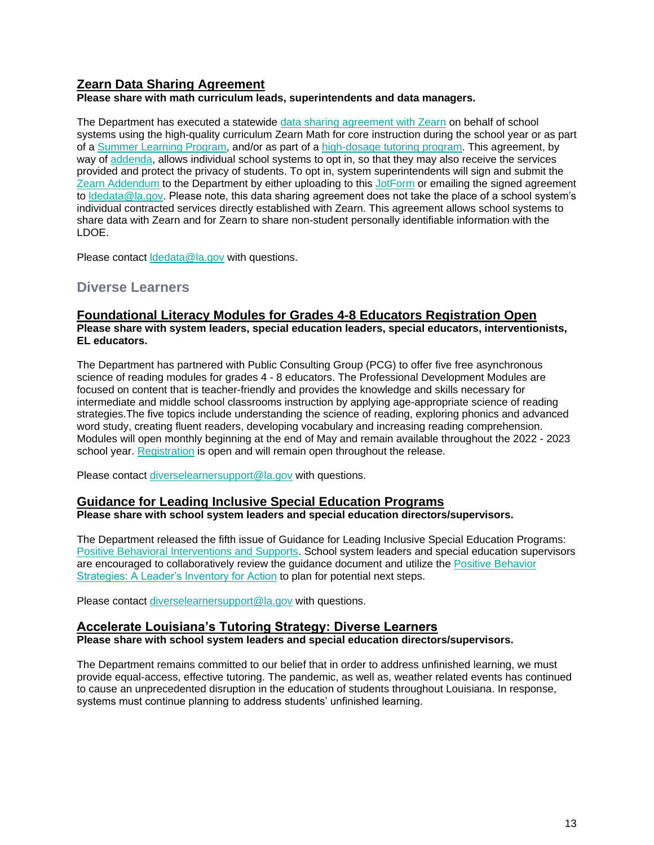## **Zearn Data Sharing Agreement**

**Please share with math curriculum leads, superintendents and data managers.** 

The Department has executed a statewide [data sharing agreement with Zearn](https://www.louisianabelieves.com/docs/default-source/data-management/zearn---may-2022.pdf?sfvrsn=884a6518_2) on behalf of school systems using the high-quality curriculum Zearn Math for core instruction during the school year or as part of a [Summer Learning Program,](https://www.louisianabelieves.com/docs/default-source/accelerate/accelerate-math-summer-learning-2022.pdf?sfvrsn=7f746418_18) and/or as part of a [high-dosage tutoring program.](https://www.louisianabelieves.com/docs/default-source/accelerate/accelerate-math.pdf?sfvrsn=433c6618_30) This agreement, by way of [addenda,](https://www.louisianabelieves.com/docs/default-source/data-management/zearn---addendum.docx?sfvrsn=63496518_2) allows individual school systems to opt in, so that they may also receive the services provided and protect the privacy of students. To opt in, system superintendents will sign and submit the [Zearn Addendum](https://www.louisianabelieves.com/docs/default-source/data-management/zearn---addendum.docx?sfvrsn=63496518_2) to the Department by either uploading to this [JotForm](https://form.jotform.com/221037256699160) or emailing the signed agreement to Idedata@la.gov. Please note, this data sharing agreement does not take the place of a school system's individual contracted services directly established with Zearn. This agreement allows school systems to share data with Zearn and for Zearn to share non-student personally identifiable information with the LDOE.

Please contact **Idedata@la.gov** with questions.

## <span id="page-13-0"></span>**Diverse Learners**

## **Foundational Literacy Modules for Grades 4-8 Educators Registration Open**

**Please share with system leaders, special education leaders, special educators, interventionists, EL educators.** 

The Department has partnered with Public Consulting Group (PCG) to offer five free asynchronous science of reading modules for grades 4 - 8 educators. The Professional Development Modules are focused on content that is teacher-friendly and provides the knowledge and skills necessary for intermediate and middle school classrooms instruction by applying age-appropriate science of reading strategies.The five topics include understanding the science of reading, exploring phonics and advanced word study, creating fluent readers, developing vocabulary and increasing reading comprehension. Modules will open monthly beginning at the end of May and remain available throughout the 2022 - 2023 school year. [Registration](https://forms.office.com/pages/responsepage.aspx?id=wxCx2SVMeUO5euJIk4zBe480GuvBKj1CvXxROcKQzeNUMlI4S0tDVFhPSkVXNU5DNkJDSlhXNkFHMy4u) is open and will remain open throughout the release.

Please contact [diverselearnersupport@la.gov](mailto:diverselearnersupport@la.gov) with questions.

#### **Guidance for Leading Inclusive Special Education Programs**

**Please share with school system leaders and special education directors/supervisors.**

The Department released the fifth issue of Guidance for Leading Inclusive Special Education Programs: [Positive Behavioral Interventions and Supports.](https://louisianabelieves.com/docs/default-source/students-with-disabilities/guidance-for-leading-inclusive-special-education-programs---positive-behavior-intervention-supports-(may-2022).pdf?sfvrsn=474c6518_6) School system leaders and special education supervisors are encouraged to collaboratively review the guidance document and utilize the [Positive Behavior](https://docs.google.com/document/d/1q2qNZQ2kIWVZDHd9tUWJ4YMogd_kQgPvRQRPa6GkTyo/edit)  [Strategies: A Leader's Inventory for Action](https://docs.google.com/document/d/1q2qNZQ2kIWVZDHd9tUWJ4YMogd_kQgPvRQRPa6GkTyo/edit) to plan for potential next steps.

Please contact [diverselearnersupport@la.gov](mailto:diverselearnersupport@la.gov) with questions.

#### **Accelerate Louisiana's Tutoring Strategy: Diverse Learners**

**Please share with school system leaders and special education directors/supervisors.**

The Department remains committed to our belief that in order to address unfinished learning, we must provide equal-access, effective tutoring. The pandemic, as well as, weather related events has continued to cause an unprecedented disruption in the education of students throughout Louisiana. In response, systems must continue planning to address students' unfinished learning.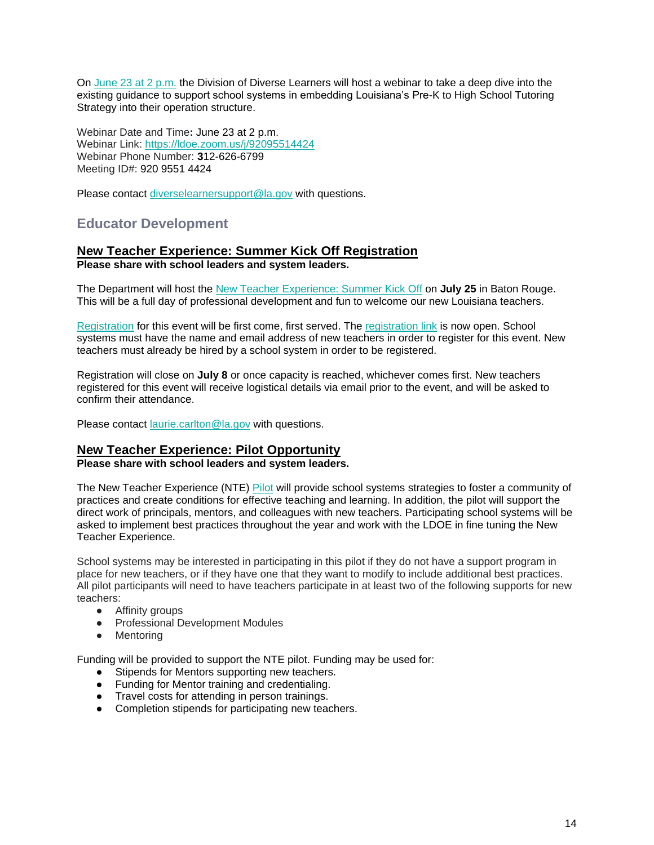On [June 23 at 2 p.m.](https://ldoe.zoom.us/j/92095514424) the Division of Diverse Learners will host a webinar to take a deep dive into the existing guidance to support school systems in embedding Louisiana's Pre-K to High School Tutoring Strategy into their operation structure.

Webinar Date and Time**:** June 23 at 2 p.m. Webinar Link[:](https://ldoe.zoom.us/j/98516651581?pwd=RGRGTHZHQ1YwSnBKT0RRU2toSFRsdz09) https://ldoe.zoom.us/j/92095514424 Webinar Phone Number: **3**12-626-6799 Meeting ID#: 920 9551 4424

Please contact [diverselearnersupport@la.gov](mailto:diverselearnersupport@la.gov) with questions.

# <span id="page-14-0"></span>**Educator Development**

#### **New Teacher Experience: Summer Kick Off Registration Please share with school leaders and system leaders.**

The Department will host the [New Teacher Experience: Summer Kick Off](https://www.louisianabelieves.com/docs/default-source/awards/new-teacher-experience-summer-kick-off.pdf?sfvrsn=fa4e6518_2) on **July 25** in Baton Rouge. This will be a full day of professional development and fun to welcome our new Louisiana teachers.

[Registration](https://docs.google.com/forms/d/e/1FAIpQLSfhekakJahgArZUUi0-BZWjbk4jKUVVmTZCiyN8cliZfIc9jg/viewform?usp=sf_link) for this event will be first come, first served. The [registration link](https://docs.google.com/forms/d/e/1FAIpQLSfhekakJahgArZUUi0-BZWjbk4jKUVVmTZCiyN8cliZfIc9jg/viewform?usp=sf_link) is now open. School systems must have the name and email address of new teachers in order to register for this event. New teachers must already be hired by a school system in order to be registered.

Registration will close on **July 8** or once capacity is reached, whichever comes first. New teachers registered for this event will receive logistical details via email prior to the event, and will be asked to confirm their attendance.

Please contact [laurie.carlton@la.gov](mailto:laurie.carlton@la.gov) with questions.

#### **New Teacher Experience: Pilot Opportunity**

**Please share with school leaders and system leaders.**

The New Teacher Experience (NTE) [Pilot](https://www.louisianabelieves.com/docs/default-source/awards/new-teacher-experience-pilot-overview.pdf) will provide school systems strategies to foster a community of practices and create conditions for effective teaching and learning. In addition, the pilot will support the direct work of principals, mentors, and colleagues with new teachers. Participating school systems will be asked to implement best practices throughout the year and work with the LDOE in fine tuning the New Teacher Experience.

School systems may be interested in participating in this pilot if they do not have a support program in place for new teachers, or if they have one that they want to modify to include additional best practices. All pilot participants will need to have teachers participate in at least two of the following supports for new teachers:

- Affinity groups
- Professional Development Modules
- Mentoring

Funding will be provided to support the NTE pilot. Funding may be used for:

- Stipends for Mentors supporting new teachers.
- Funding for Mentor training and credentialing.
- Travel costs for attending in person trainings.
- Completion stipends for participating new teachers.